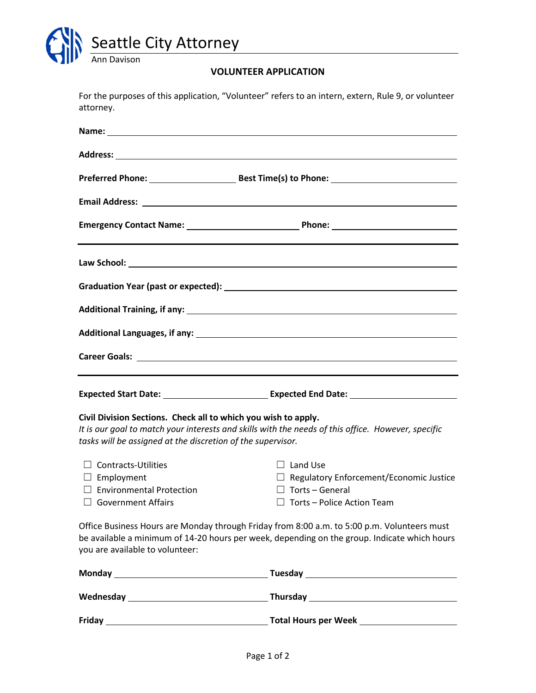

## **VOLUNTEER APPLICATION**

| attorney.                                                                                                                                                                                                                           | For the purposes of this application, "Volunteer" refers to an intern, extern, Rule 9, or volunteer |
|-------------------------------------------------------------------------------------------------------------------------------------------------------------------------------------------------------------------------------------|-----------------------------------------------------------------------------------------------------|
|                                                                                                                                                                                                                                     |                                                                                                     |
|                                                                                                                                                                                                                                     |                                                                                                     |
|                                                                                                                                                                                                                                     |                                                                                                     |
|                                                                                                                                                                                                                                     |                                                                                                     |
|                                                                                                                                                                                                                                     |                                                                                                     |
|                                                                                                                                                                                                                                     |                                                                                                     |
|                                                                                                                                                                                                                                     |                                                                                                     |
|                                                                                                                                                                                                                                     |                                                                                                     |
|                                                                                                                                                                                                                                     |                                                                                                     |
|                                                                                                                                                                                                                                     |                                                                                                     |
|                                                                                                                                                                                                                                     |                                                                                                     |
| Civil Division Sections. Check all to which you wish to apply.<br>It is our goal to match your interests and skills with the needs of this office. However, specific<br>tasks will be assigned at the discretion of the supervisor. |                                                                                                     |
| $\Box$ Contracts-Utilities                                                                                                                                                                                                          | $\Box$ Land Use                                                                                     |
| $\Box$ Employment                                                                                                                                                                                                                   | $\Box$ Regulatory Enforcement/Economic Justice                                                      |
| $\Box$ Environmental Protection<br>$\Box$ Government Affairs                                                                                                                                                                        | $\Box$ Torts – General<br>$\Box$ Torts - Police Action Team                                         |
| Office Business Hours are Monday through Friday from 8:00 a.m. to 5:00 p.m. Volunteers must<br>be available a minimum of 14-20 hours per week, depending on the group. Indicate which hours<br>you are available to volunteer:      |                                                                                                     |
|                                                                                                                                                                                                                                     |                                                                                                     |
|                                                                                                                                                                                                                                     |                                                                                                     |
|                                                                                                                                                                                                                                     |                                                                                                     |